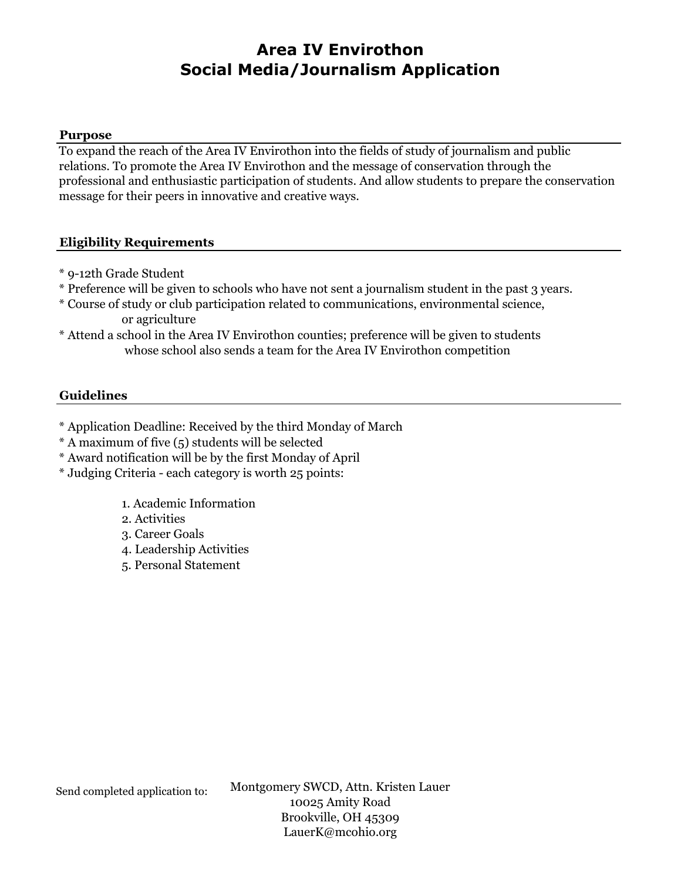#### **Purpose**

To expand the reach of the Area IV Envirothon into the fields of study of journalism and public relations. To promote the Area IV Envirothon and the message of conservation through the professional and enthusiastic participation of students. And allow students to prepare the conservation message for their peers in innovative and creative ways.

### **Eligibility Requirements**

- \* 9-12th Grade Student
- \* Preference will be given to schools who have not sent a journalism student in the past 3 years.
- \* Course of study or club participation related to communications, environmental science, or agriculture
- \* Attend a school in the Area IV Envirothon counties; preference will be given to students whose school also sends a team for the Area IV Envirothon competition

#### **Guidelines**

- \* Application Deadline: Received by the third Monday of March
- \* A maximum of five (5) students will be selected
- \* Award notification will be by the first Monday of April
- \* Judging Criteria each category is worth 25 points:
	- 1. Academic Information
	- 2. Activities
	- 3. Career Goals
	- 4. Leadership Activities
	- 5. Personal Statement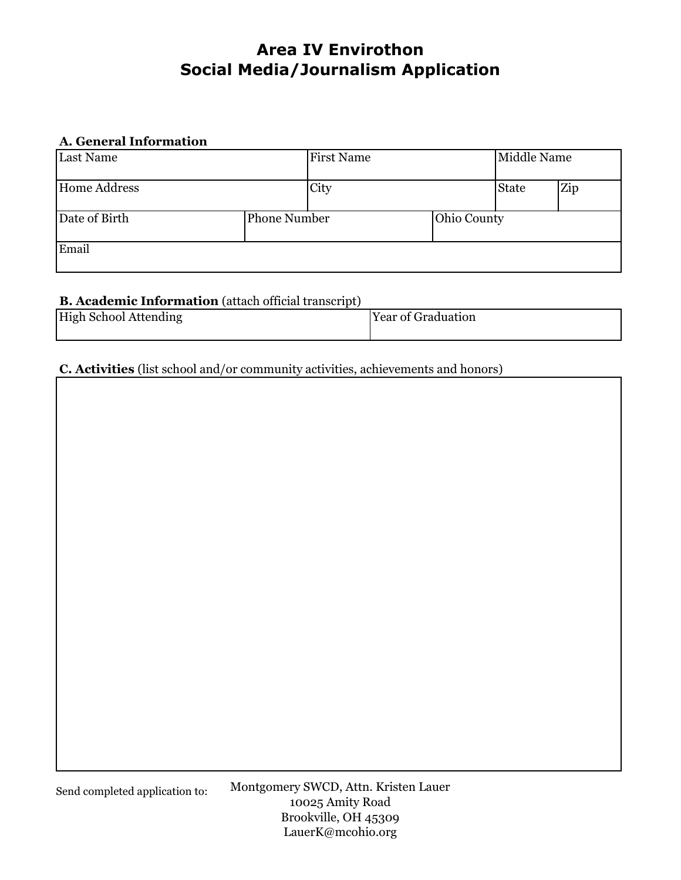### **A. General Information**

| <b>Last Name</b>    |                     | <b>First Name</b> |             | Middle Name  |     |
|---------------------|---------------------|-------------------|-------------|--------------|-----|
| <b>Home Address</b> |                     | City              |             | <b>State</b> | Zip |
| Date of Birth       | <b>Phone Number</b> |                   | Ohio County |              |     |
| Email               |                     |                   |             |              |     |

### **B. Academic Information** (attach official transcript)

| <b>High School Attending</b> | <b>Year of Graduation</b> |  |  |
|------------------------------|---------------------------|--|--|
|                              |                           |  |  |

## **C. Activities** (list school and/or community activities, achievements and honors)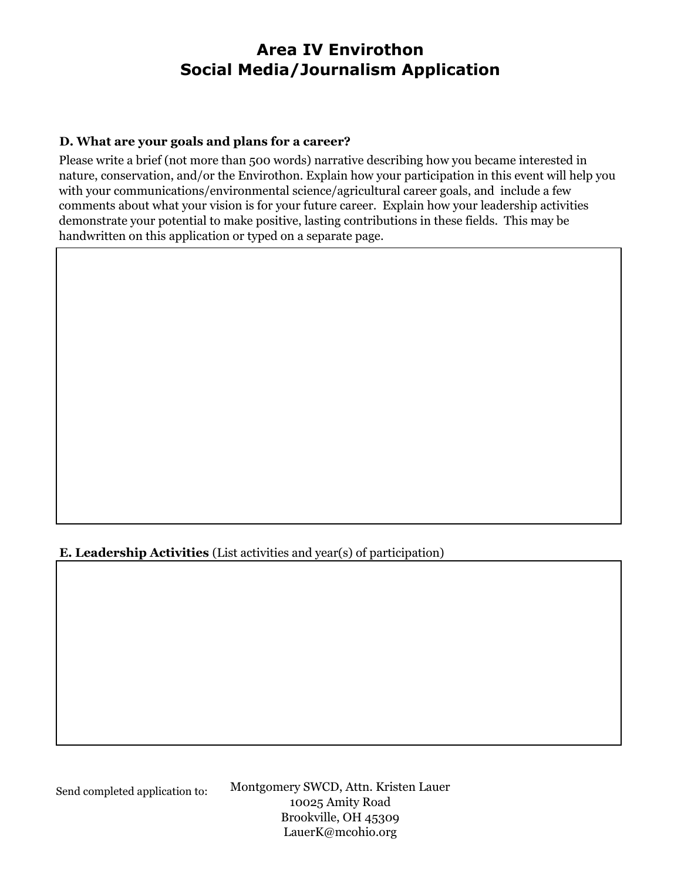### **D. What are your goals and plans for a career?**

Please write a brief (not more than 500 words) narrative describing how you became interested in nature, conservation, and/or the Envirothon. Explain how your participation in this event will help you with your communications/environmental science/agricultural career goals, and include a few comments about what your vision is for your future career. Explain how your leadership activities demonstrate your potential to make positive, lasting contributions in these fields. This may be handwritten on this application or typed on a separate page.

**E. Leadership Activities** (List activities and year(s) of participation)